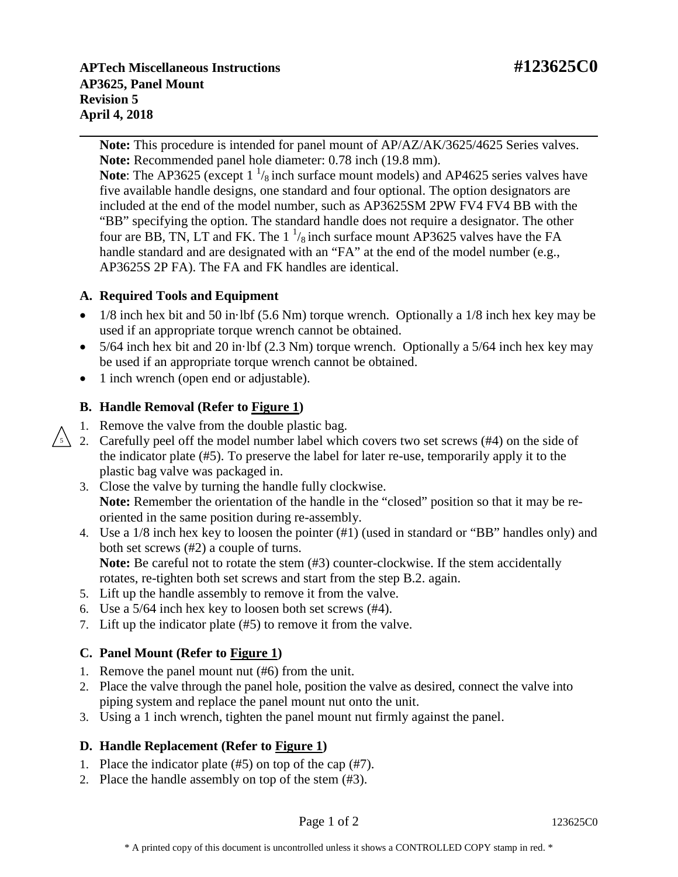**APTech Miscellaneous Instructions #123625C0 AP3625, Panel Mount Revision 5 April 4, 2018**

**Note:** This procedure is intended for panel mount of AP/AZ/AK/3625/4625 Series valves. **Note:** Recommended panel hole diameter: 0.78 inch (19.8 mm).

**Note:** The AP3625 (except  $1 \frac{1}{8}$  inch surface mount models) and AP4625 series valves have five available handle designs, one standard and four optional. The option designators are included at the end of the model number, such as AP3625SM 2PW FV4 FV4 BB with the "BB" specifying the option. The standard handle does not require a designator. The other four are BB, TN, LT and FK. The 1  $\frac{1}{8}$  inch surface mount AP3625 valves have the FA handle standard and are designated with an "FA" at the end of the model number (e.g., AP3625S 2P FA). The FA and FK handles are identical.

### **A. Required Tools and Equipment**

- 1/8 inch hex bit and 50 in·lbf (5.6 Nm) torque wrench. Optionally a 1/8 inch hex key may be used if an appropriate torque wrench cannot be obtained.
- 5/64 inch hex bit and 20 in·lbf (2.3 Nm) torque wrench. Optionally a 5/64 inch hex key may be used if an appropriate torque wrench cannot be obtained.
- 1 inch wrench (open end or adjustable).

# **B. Handle Removal (Refer to Figure 1)**

- 1. Remove the valve from the double plastic bag.
- 2. Carefully peel off the model number label which covers two set screws (#4) on the side of the indicator plate (#5). To preserve the label for later re-use, temporarily apply it to the plastic bag valve was packaged in. 5
	- 3. Close the valve by turning the handle fully clockwise. **Note:** Remember the orientation of the handle in the "closed" position so that it may be reoriented in the same position during re-assembly.
	- 4. Use a 1/8 inch hex key to loosen the pointer (#1) (used in standard or "BB" handles only) and both set screws (#2) a couple of turns. **Note:** Be careful not to rotate the stem (#3) counter-clockwise. If the stem accidentally rotates, re-tighten both set screws and start from the step B.2. again.
	-
	- 5. Lift up the handle assembly to remove it from the valve.
	- 6. Use a 5/64 inch hex key to loosen both set screws (#4).
	- 7. Lift up the indicator plate (#5) to remove it from the valve.

# **C. Panel Mount (Refer to Figure 1)**

- 1. Remove the panel mount nut (#6) from the unit.
- 2. Place the valve through the panel hole, position the valve as desired, connect the valve into piping system and replace the panel mount nut onto the unit.
- 3. Using a 1 inch wrench, tighten the panel mount nut firmly against the panel.

### **D. Handle Replacement (Refer to Figure 1)**

- 1. Place the indicator plate (#5) on top of the cap (#7).
- 2. Place the handle assembly on top of the stem (#3).

Page 1 of 2 123625C0